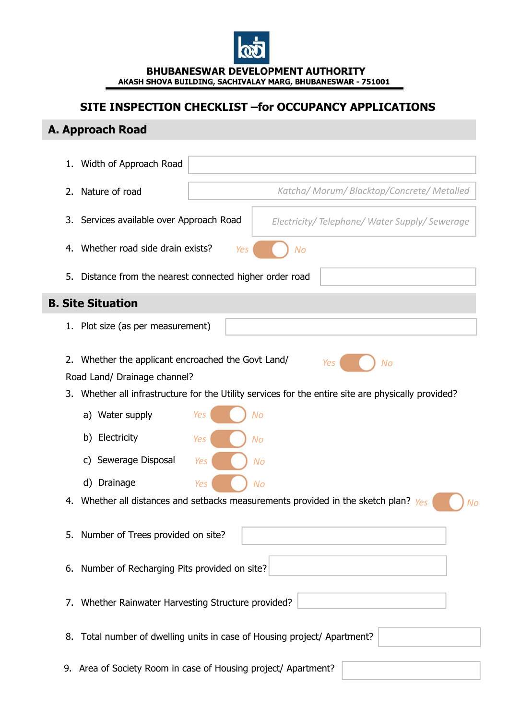

**BHUBANESWAR DEVELOPMENT AUTHORITY** AKASH SHOVA BUILDING, SACHIVALAY MARG, BHUBANESWAR - 751001

# **SITE INSPECTION CHECKLIST –for OCCUPANCY APPLICATIONS**

# **A. Approach Road**

|                          | 1. | Width of Approach Road                                                                                              |
|--------------------------|----|---------------------------------------------------------------------------------------------------------------------|
|                          | 2. | Katcha/ Morum/ Blacktop/Concrete/ Metalled<br>Nature of road                                                        |
|                          | 3. | Services available over Approach Road<br>Electricity/Telephone/Water Supply/Sewerage                                |
|                          | 4. | Whether road side drain exists?<br>Yes<br>No                                                                        |
|                          | 5. | Distance from the nearest connected higher order road                                                               |
| <b>B. Site Situation</b> |    |                                                                                                                     |
|                          |    | 1. Plot size (as per measurement)                                                                                   |
|                          | 2. | Whether the applicant encroached the Govt Land/<br>Yes<br>No<br>Road Land/ Drainage channel?                        |
|                          | 3. | Whether all infrastructure for the Utility services for the entire site are physically provided?<br>Yes<br>No       |
|                          |    | a) Water supply                                                                                                     |
|                          |    | b) Electricity<br>Yes<br>No                                                                                         |
|                          |    | c) Sewerage Disposal<br>Yes<br>No                                                                                   |
|                          | 4. | d) Drainage<br><b>Yes</b><br>No<br>Whether all distances and setbacks measurements provided in the sketch plan? Yes |
|                          |    | No<br>5. Number of Trees provided on site?                                                                          |
|                          | 6. | Number of Recharging Pits provided on site?                                                                         |
|                          |    | 7. Whether Rainwater Harvesting Structure provided?                                                                 |
|                          |    | 8. Total number of dwelling units in case of Housing project/ Apartment?                                            |
|                          |    | 9. Area of Society Room in case of Housing project/ Apartment?                                                      |